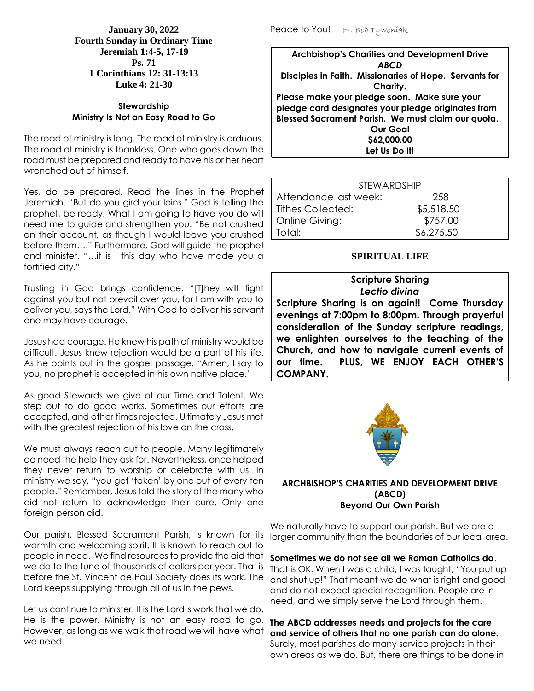**January 30, 2022 Fourth Sunday in Ordinary Time Jeremiah 1:4-5, 17-19 Ps. 71 1 Corinthians 12: 31-13:13 Luke 4: 21-30**

## **Stewardship Ministry Is Not an Easy Road to Go**

The road of ministry is long. The road of ministry is arduous. The road of ministry is thankless. One who goes down the road must be prepared and ready to have his or her heart wrenched out of himself.

Yes, do be prepared. Read the lines in the Prophet Jeremiah. "But do you gird your loins." God is telling the prophet, be ready. What I am going to have you do will need me to guide and strengthen you. "Be not crushed on their account, as though I would leave you crushed before them…." Furthermore, God will guide the prophet and minister. "…it is I this day who have made you a fortified city."

Trusting in God brings confidence. "[T]hey will fight against you but not prevail over you, for I am with you to deliver you, says the Lord." With God to deliver his servant one may have courage.

Jesus had courage. He knew his path of ministry would be difficult. Jesus knew rejection would be a part of his life. As he points out in the gospel passage, "Amen, I say to you, no prophet is accepted in his own native place."

As good Stewards we give of our Time and Talent. We step out to do good works. Sometimes our efforts are accepted, and other times rejected. Ultimately Jesus met with the greatest rejection of his love on the cross.

We must always reach out to people. Many legitimately do need the help they ask for. Nevertheless, once helped they never return to worship or celebrate with us. In ministry we say, "you get 'taken' by one out of every ten people." Remember, Jesus told the story of the many who did not return to acknowledge their cure. Only one foreign person did.

Our parish, Blessed Sacrament Parish, is known for its warmth and welcoming spirit. It is known to reach out to people in need. We find resources to provide the aid that we do to the tune of thousands of dollars per year. That is before the St. Vincent de Paul Society does its work. The Lord keeps supplying through all of us in the pews.

Let us continue to minister. It is the Lord's work that we do. He is the power. Ministry is not an easy road to go. However, as long as we walk that road we will have what we need.

Peace to You! Fr. Bob Tywoniak

**Archbishop's Charities and Development Drive** *ABCD* **Disciples in Faith. Missionaries of Hope. Servants for Charity. Please make your pledge soon. Make sure your pledge card designates your pledge originates from Blessed Sacrament Parish. We must claim our quota. Our Goal \$62,000.00 Let Us Do It!**

| <b>STEWARDSHIP</b>       |            |  |  |
|--------------------------|------------|--|--|
| Attendance last week:    | 258        |  |  |
| <b>Tithes Collected:</b> | \$5,518.50 |  |  |
| Online Giving:           | \$757.00   |  |  |
| Total:                   | \$6,275.50 |  |  |

# **SPIRITUAL LIFE**

#### **Scripture Sharing** *Lectio divina*

**Scripture Sharing is on again!! Come Thursday evenings at 7:00pm to 8:00pm. Through prayerful consideration of the Sunday scripture readings, we enlighten ourselves to the teaching of the Church, and how to navigate current events of our time. PLUS, WE ENJOY EACH OTHER'S COMPANY.**



#### **ARCHBISHOP'S CHARITIES AND DEVELOPMENT DRIVE (ABCD) Beyond Our Own Parish**

We naturally have to support our parish. But we are a larger community than the boundaries of our local area.

## **Sometimes we do not see all we Roman Catholics do**.

That is OK. When I was a child, I was taught, "You put up and shut up!" That meant we do what is right and good and do not expect special recognition. People are in need, and we simply serve the Lord through them.

### **The ABCD addresses needs and projects for the care and service of others that no one parish can do alone.** Surely, most parishes do many service projects in their own areas as we do. But, there are things to be done in